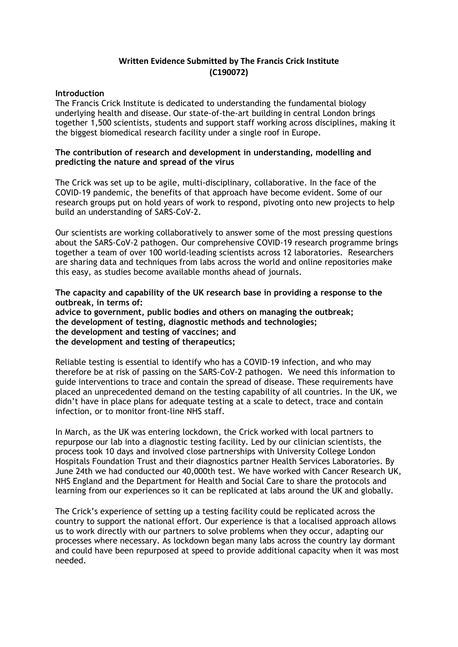## **Written Evidence Submitted by The Francis Crick Institute (C190072)**

## **Introduction**

The Francis Crick Institute is dedicated to understanding the fundamental biology underlying health and disease. Our state-of-the-art building in central London brings together 1,500 scientists, students and support staff working across disciplines, making it the biggest biomedical research facility under a single roof in Europe.

## **The contribution of research and development in understanding, modelling and predicting the nature and spread of the virus**

The Crick was set up to be agile, multi-disciplinary, collaborative. In the face of the COVID-19 pandemic, the benefits of that approach have become evident. Some of our research groups put on hold years of work to respond, pivoting onto new projects to help build an understanding of SARS-CoV-2.

Our scientists are working collaboratively to answer some of the most pressing questions about the SARS-CoV-2 pathogen. Our comprehensive COVID-19 research programme brings together a team of over 100 world-leading scientists across 12 laboratories. Researchers are sharing data and techniques from labs across the world and online repositories make this easy, as studies become available months ahead of journals.

**The capacity and capability of the UK research base in providing a response to the outbreak, in terms of: advice to government, public bodies and others on managing the outbreak; the development of testing, diagnostic methods and technologies; the development and testing of vaccines; and the development and testing of therapeutics;**

Reliable testing is essential to identify who has a COVID-19 infection, and who may therefore be at risk of passing on the SARS-CoV-2 pathogen. We need this information to guide interventions to trace and contain the spread of disease. These requirements have placed an unprecedented demand on the testing capability of all countries. In the UK, we didn't have in place plans for adequate testing at a scale to detect, trace and contain infection, or to monitor front-line NHS staff.

In March, as the UK was entering lockdown, the Crick worked with local partners to repurpose our lab into a diagnostic testing facility. Led by our clinician scientists, the process took 10 days and involved close partnerships with University College London Hospitals Foundation Trust and their diagnostics partner Health Services Laboratories. By June 24th we had conducted our 40,000th test. We have worked with Cancer Research UK, NHS England and the Department for Health and Social Care to share the protocols and learning from our experiences so it can be replicated at labs around the UK and globally.

The Crick's experience of setting up a testing facility could be replicated across the country to support the national effort. Our experience is that a localised approach allows us to work directly with our partners to solve problems when they occur, adapting our processes where necessary. As lockdown began many labs across the country lay dormant and could have been repurposed at speed to provide additional capacity when it was most needed.